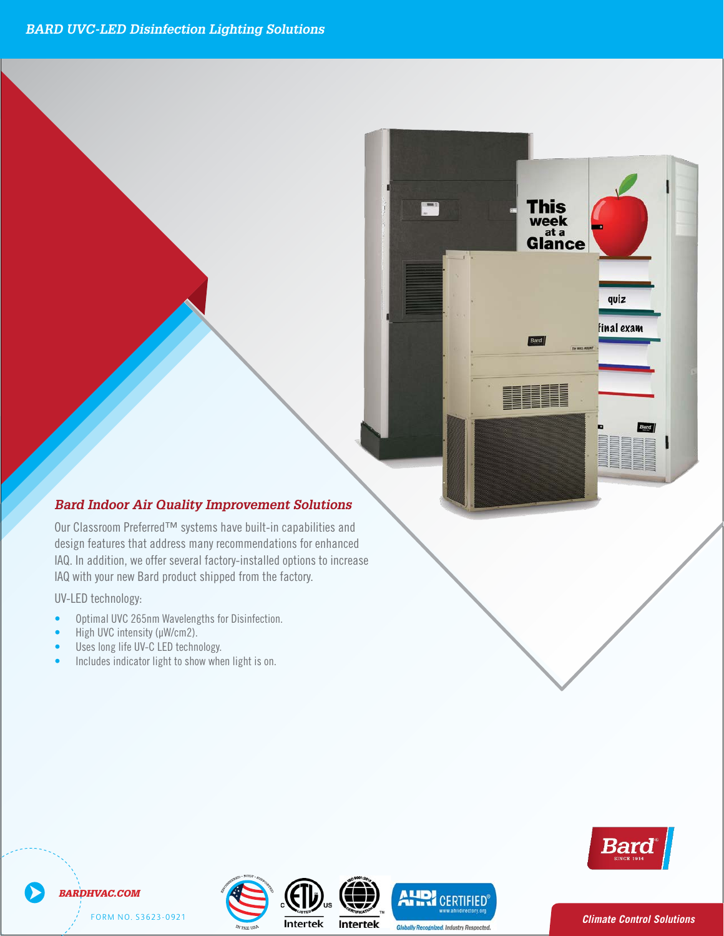#### **ERG WALL-MOUNTMENT IN SERIES WAS SERIED FOUND TO 3 TON THE SERIED WATER STATES IN THE STATE SYSTEM** 208V to 460V 60hz Air Conditioner Specifications. *without using valuable indoor floor space or outside f <i><i>f***</del>** *b ard Indoor Air Quality Improvement Solutions*

**1** The Barantees of the Bard Walle-Mountain Series Walle-Mondial Bard Walle-Mountains and *design* features that address many recommendations 208V to 460V 60hz Air Conditioner Specifications. *to offer maximum indoor comfort at a minimal cost offices, school modernization, The Bard Wall-Mount Air Conditioner is a self* design features that address many recommendations for enhanced *without using valuable indoor floor space or outside ground space. This unitis the ideal productfor correctional facilities. Factory or field installed* **ground Space** *Dur* Classroom Preferred™ systems have built-in capabilities and **the structure structure structure** structure structure structures in the structure structure structures in the structure structure structure structure structure structure structure structure structure structure structure *accessories are available to meet specific job* IAQ with your new Bard product shipped from the factory.

*contained energy efficient system, which is designed* **UV-LED** technology: *versatile applications such as: new construction,*

*requirements for your unique application.*

*The Bard Wall-Mount Air Conditioner is a self*

- $\bullet$  Uptimal UVG Z65nm wavelengths for Disinfection. *without using valuable indoor floor space or outside* **Example 3 Optimal UVC 265nm Wavelengths for Disinfection.** *telecommunication structures, portable structures or*
- **•** High UVC intensity ( $\mu$ W/cm2). *requirements for your unique application.*

11EER WALL-MOUNT™ 1.5 to 3 Ton 3 Ton 3 Ton 3 Ton 3 Ton 3 Ton 3 Ton 3 Ton 3 Ton 3 Ton 3 Ton 3 Ton 3 Ton 3 Ton 3 208V to 460V 60hz Air Conditioner Specifications.

- *The Bard Wall-Mount Air Conditioner is a self modular offices, school modernization,* **telecommunical** structures or Uses long life UV-C LED technology.
- **Example:** Includes indicator light to show when light is on. *to offer maximum indoor comfort at a minimal cost accessories are available to meet specific job*



This

**Bard** 

week<br>Glance

quiz

final exam

**1 E E R AND A S AND A SERVE A LUI DE LA FO E DE LA GENERAL DE LA GENERAL DE LA GENERAL DE LA GENERAL DE LA GENERAL DE LA GENERAL DE LA GENERAL DE LA GENERAL DE LA GENERAL DE LA GENERAL DE LA GENERAL DE LA GENERAL DE LA GE** *BARDHVAC.COM*

FORM NO. S3623-0921



**Intertek** 

**Globally Recognized. Industry Respected.**